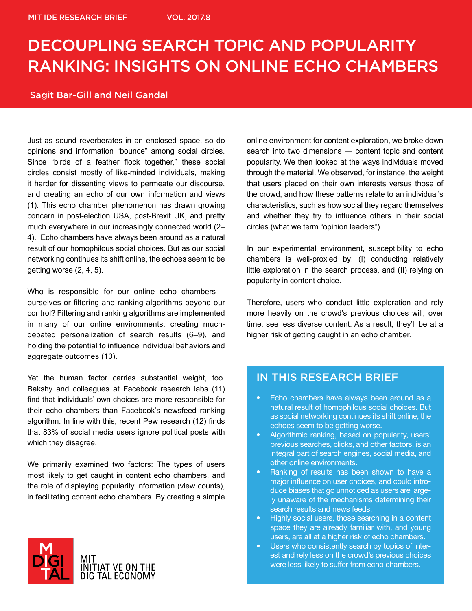# DECOUPLING SEARCH TOPIC AND POPULARITY RANKING: INSIGHTS ON ONLINE ECHO CHAMBERS

#### Sagit Bar-Gill and Neil Gandal

Just as sound reverberates in an enclosed space, so do opinions and information "bounce" among social circles. Since "birds of a feather flock together," these social circles consist mostly of like-minded individuals, making it harder for dissenting views to permeate our discourse, and creating an echo of our own information and views (1). This echo chamber phenomenon has drawn growing concern in post-election USA, post-Brexit UK, and pretty much everywhere in our increasingly connected world (2– 4). Echo chambers have always been around as a natural result of our homophilous social choices. But as our social networking continues its shift online, the echoes seem to be getting worse (2, 4, 5).

Who is responsible for our online echo chambers – ourselves or filtering and ranking algorithms beyond our control? Filtering and ranking algorithms are implemented in many of our online environments, creating muchdebated personalization of search results (6–9), and holding the potential to influence individual behaviors and aggregate outcomes (10).

Yet the human factor carries substantial weight, too. Bakshy and colleagues at Facebook research labs (11) find that individuals' own choices are more responsible for their echo chambers than Facebook's newsfeed ranking algorithm. In line with this, recent Pew research (12) finds that 83% of social media users ignore political posts with which they disagree.

We primarily examined two factors: The types of users most likely to get caught in content echo chambers, and the role of displaying popularity information (view counts), in facilitating content echo chambers. By creating a simple



online environment for content exploration, we broke down search into two dimensions — content topic and content popularity. We then looked at the ways individuals moved through the material. We observed, for instance, the weight that users placed on their own interests versus those of the crowd, and how these patterns relate to an individual's characteristics, such as how social they regard themselves and whether they try to influence others in their social circles (what we term "opinion leaders").

In our experimental environment, susceptibility to echo chambers is well-proxied by: (I) conducting relatively little exploration in the search process, and (II) relying on popularity in content choice.

Therefore, users who conduct little exploration and rely more heavily on the crowd's previous choices will, over time, see less diverse content. As a result, they'll be at a higher risk of getting caught in an echo chamber.

### IN THIS RESEARCH BRIEF

- Echo chambers have always been around as a natural result of homophilous social choices. But as social networking continues its shift online, the echoes seem to be getting worse.
- Algorithmic ranking, based on popularity, users' previous searches, clicks, and other factors, is an integral part of search engines, social media, and other online environments.
- Ranking of results has been shown to have a major influence on user choices, and could introduce biases that go unnoticed as users are largely unaware of the mechanisms determining their search results and news feeds.
- Highly social users, those searching in a content space they are already familiar with, and young users, are all at a higher risk of echo chambers.
- Users who consistently search by topics of interest and rely less on the crowd's previous choices were less likely to suffer from echo chambers.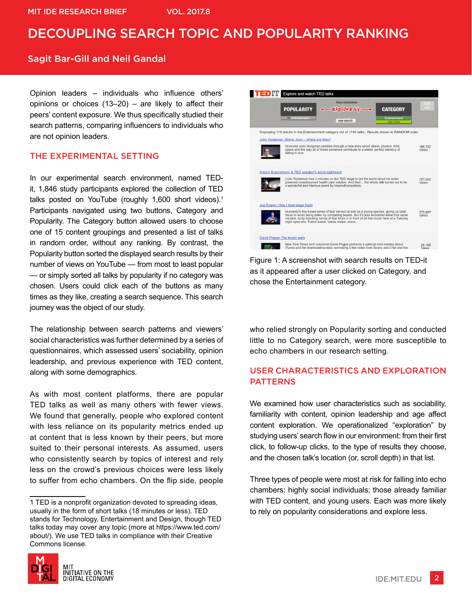#### Sagit Bar-Gill and Neil Gandal

Opinion leaders – individuals who influence others' opinions or choices (13–20) – are likely to affect their peers' content exposure. We thus specifically studied their search patterns, comparing influencers to individuals who are not opinion leaders.

#### THE EXPERIMENTAL SETTING

In our experimental search environment, named TEDit, 1,846 study participants explored the collection of TED talks posted on YouTube (roughly 1,600 short videos).<sup>1</sup> Participants navigated using two buttons, Category and Popularity. The Category button allowed users to choose one of 15 content groupings and presented a list of talks in random order, without any ranking. By contrast, the Popularity button sorted the displayed search results by their number of views on YouTube — from most to least popular — or simply sorted all talks by popularity if no category was chosen. Users could click each of the buttons as many times as they like, creating a search sequence. This search journey was the object of our study.

The relationship between search patterns and viewers' social characteristics was further determined by a series of questionnaires, which assessed users' sociability, opinion leadership, and previous experience with TED content, along with some demographics.

As with most content platforms, there are popular TED talks as well as many others with fewer views. We found that generally, people who explored content with less reliance on its popularity metrics ended up at content that is less known by their peers, but more suited to their personal interests. As assumed, users who consistently search by topics of interest and rely less on the crowd's previous choices were less likely to suffer from echo chambers. On the flip side, people

<sup>1</sup> TED is a nonprofit organization devoted to spreading ideas, usually in the form of short talks (18 minutes or less). TED stands for Technology, Entertainment and Design, though TED talks today may cover any topic (more at https://www.ted.com/ about/). We use TED talks in compliance with their Creative Commons license.





Figure 1: A screenshot with search results on TED-it as it appeared after a user clicked on Category, and chose the Entertainment category.

who relied strongly on Popularity sorting and conducted little to no Category search, were more susceptible to echo chambers in our research setting.

#### USER CHARACTERISTICS AND EXPLORATION PATTERNS

We examined how user characteristics such as sociability, familiarity with content, opinion leadership and age affect content exploration. We operationalized "exploration" by studying users' search flow in our environment: from their first click, to follow-up clicks, to the type of results they choose, and the chosen talk's location (or, scroll depth) in that list.

Three types of people were most at risk for falling into echo chambers: highly social individuals; those already familiar with TED content, and young users. Each was more likely to rely on popularity considerations and explore less.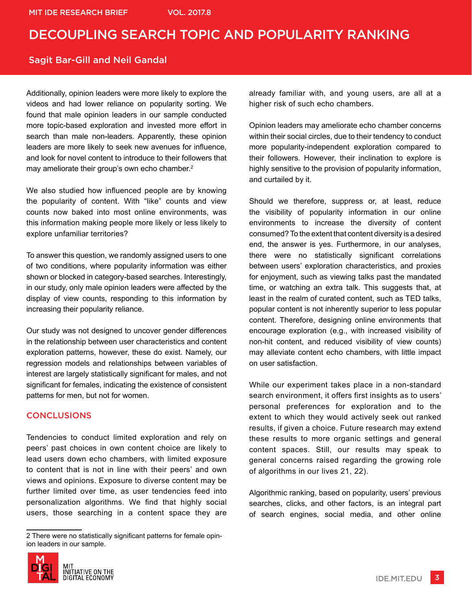#### Sagit Bar-Gill and Neil Gandal

Additionally, opinion leaders were more likely to explore the videos and had lower reliance on popularity sorting. We found that male opinion leaders in our sample conducted more topic-based exploration and invested more effort in search than male non-leaders. Apparently, these opinion leaders are more likely to seek new avenues for influence, and look for novel content to introduce to their followers that may ameliorate their group's own echo chamber.<sup>2</sup>

We also studied how influenced people are by knowing the popularity of content. With "like" counts and view counts now baked into most online environments, was this information making people more likely or less likely to explore unfamiliar territories?

To answer this question, we randomly assigned users to one of two conditions, where popularity information was either shown or blocked in category-based searches. Interestingly, in our study, only male opinion leaders were affected by the display of view counts, responding to this information by increasing their popularity reliance.

Our study was not designed to uncover gender differences in the relationship between user characteristics and content exploration patterns, however, these do exist. Namely, our regression models and relationships between variables of interest are largely statistically significant for males, and not significant for females, indicating the existence of consistent patterns for men, but not for women.

#### **CONCLUSIONS**

Tendencies to conduct limited exploration and rely on peers' past choices in own content choice are likely to lead users down echo chambers, with limited exposure to content that is not in line with their peers' and own views and opinions. Exposure to diverse content may be further limited over time, as user tendencies feed into personalization algorithms. We find that highly social users, those searching in a content space they are

<sup>2</sup> There were no statistically significant patterns for female opinion leaders in our sample.



already familiar with, and young users, are all at a higher risk of such echo chambers.

Opinion leaders may ameliorate echo chamber concerns within their social circles, due to their tendency to conduct more popularity-independent exploration compared to their followers. However, their inclination to explore is highly sensitive to the provision of popularity information, and curtailed by it.

Should we therefore, suppress or, at least, reduce the visibility of popularity information in our online environments to increase the diversity of content consumed? To the extent that content diversity is a desired end, the answer is yes. Furthermore, in our analyses, there were no statistically significant correlations between users' exploration characteristics, and proxies for enjoyment, such as viewing talks past the mandated time, or watching an extra talk. This suggests that, at least in the realm of curated content, such as TED talks, popular content is not inherently superior to less popular content. Therefore, designing online environments that encourage exploration (e.g., with increased visibility of non-hit content, and reduced visibility of view counts) may alleviate content echo chambers, with little impact on user satisfaction.

While our experiment takes place in a non-standard search environment, it offers first insights as to users' personal preferences for exploration and to the extent to which they would actively seek out ranked results, if given a choice. Future research may extend these results to more organic settings and general content spaces. Still, our results may speak to general concerns raised regarding the growing role of algorithms in our lives 21, 22).

Algorithmic ranking, based on popularity, users' previous searches, clicks, and other factors, is an integral part of search engines, social media, and other online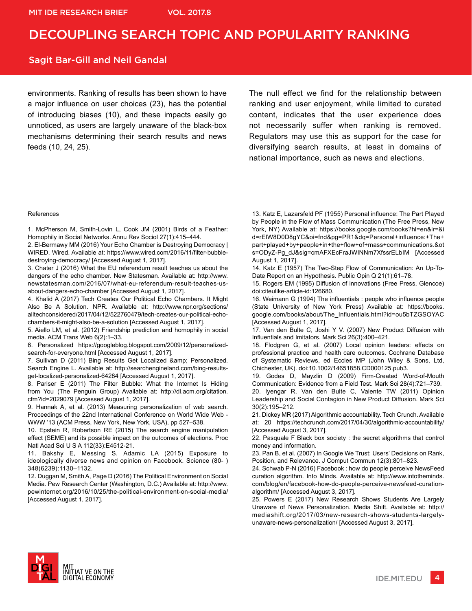#### Sagit Bar-Gill and Neil Gandal

environments. Ranking of results has been shown to have a major influence on user choices (23), has the potential of introducing biases (10), and these impacts easily go unnoticed, as users are largely unaware of the black-box mechanisms determining their search results and news feeds (10, 24, 25).

The null effect we find for the relationship between ranking and user enjoyment, while limited to curated content, indicates that the user experience does not necessarily suffer when ranking is removed. Regulators may use this as support for the case for diversifying search results, at least in domains of national importance, such as news and elections.

#### References

1. McPherson M, Smith-Lovin L, Cook JM (2001) Birds of a Feather: Homophily in Social Networks. Annu Rev Sociol 27(1):415–444.

2. El-Bermawy MM (2016) Your Echo Chamber is Destroying Democracy | WIRED. Wired. Available at: https://www.wired.com/2016/11/filter-bubbledestroying-democracy/ [Accessed August 1, 2017].

3. Chater J (2016) What the EU referendum result teaches us about the dangers of the echo chamber. New Statesman. Available at: http://www. newstatesman.com/2016/07/what-eu-referendum-result-teaches-usabout-dangers-echo-chamber [Accessed August 1, 2017].

4. Khalid A (2017) Tech Creates Our Political Echo Chambers. It Might Also Be A Solution. NPR. Available at: http://www.npr.org/sections/ alltechconsidered/2017/04/12/522760479/tech-creates-our-political-echochambers-it-might-also-be-a-solution [Accessed August 1, 2017].

5. Aiello LM, et al. (2012) Friendship prediction and homophily in social media. ACM Trans Web 6(2):1–33.

6. Personalized https://googleblog.blogspot.com/2009/12/personalizedsearch-for-everyone.html [Accessed August 1, 2017].

7. Sullivan D (2011) Bing Results Get Localized & amp; Personalized. Search Engine L. Available at: http://searchengineland.com/bing-resultsget-localized-personalized-64284 [Accessed August 1, 2017].

8. Pariser E (2011) The Filter Bubble: What the Internet Is Hiding from You (The Penguin Group) Available at: http://dl.acm.org/citation. cfm?id=2029079 [Accessed August 1, 2017].

9. Hannak A, et al. (2013) Measuring personalization of web search. Proceedings of the 22nd International Conference on World Wide Web - WWW '13 (ACM Press, New York, New York, USA), pp 527–538.

10. Epstein R, Robertson RE (2015) The search engine manipulation effect (SEME) and its possible impact on the outcomes of elections. Proc Natl Acad Sci U S A 112(33):E4512-21.

11. Bakshy E, Messing S, Adamic LA (2015) Exposure to ideologically diverse news and opinion on Facebook. Science (80- ) 348(6239):1130–1132.

12. Duggan M, Smith A, Page D (2016) The Political Environment on Social Media. Pew Research Center (Washington, D.C.) Available at: http://www. pewinternet.org/2016/10/25/the-political-environment-on-social-media/ [Accessed August 1, 2017].

13. Katz E, Lazarsfeld PF (1955) Personal influence: The Part Played by People in the Flow of Mass Communication (The Free Press, New York, NY) Available at: https://books.google.com/books?hl=en&lr=&i d=rElW8D0D8gYC&oi=fnd&pg=PR1&dq=Personal+influence:+The+ part+played+by+people+in+the+flow+of+mass+communications.&ot s=ODyZ-Pg\_dJ&sig=cmAFXEcFraJWINNm7XfssrELbIM [Accessed August 1, 2017].

14. Katz E (1957) The Two-Step Flow of Communication: An Up-To-Date Report on an Hypothesis. Public Opin Q 21(1):61–78.

15. Rogers EM (1995) Diffusion of innovations (Free Press, Glencoe) doi:citeulike-article-id:126680.

16. Weimann G (1994) The influentials : people who influence people (State University of New York Press) Available at: https://books. google.com/books/about/The\_Influentials.html?id=ou5bTZGSOYAC [Accessed August 1, 2017].

17. Van den Bulte C, Joshi Y V. (2007) New Product Diffusion with Influentials and Imitators. Mark Sci 26(3):400–421.

18. Flodgren G, et al. (2007) Local opinion leaders: effects on professional practice and health care outcomes. Cochrane Database of Systematic Reviews, ed Eccles MP (John Wiley & Sons, Ltd, Chichester, UK). doi:10.1002/14651858.CD000125.pub3.

19. Godes D, Mayzlin D (2009) Firm-Created Word-of-Mouth Communication: Evidence from a Field Test. Mark Sci 28(4):721–739.

20. Iyengar R, Van den Bulte C, Valente TW (2011) Opinion Leadership and Social Contagion in New Product Diffusion. Mark Sci 30(2):195–212.

21. Dickey MR (2017) Algorithmic accountability. Tech Crunch. Available at: 20 https://techcrunch.com/2017/04/30/algorithmic-accountability/ [Accessed August 3, 2017].

22. Pasquale F Black box society : the secret algorithms that control money and information.

23. Pan B, et al. (2007) In Google We Trust: Users' Decisions on Rank, Position, and Relevance. J Comput Commun 12(3):801–823.

24. Schwab P-N (2016) Facebook : how do people perceive NewsFeed curation algorithm. Into Minds. Available at: http://www.intotheminds. com/blog/en/facebook-how-do-people-perceive-newsfeed-curationalgorithm/ [Accessed August 3, 2017].

25. Powers E (2017) New Research Shows Students Are Largely Unaware of News Personalization. Media Shift. Available at: http:// mediashift.org/2017/03/new-research-shows-students-largelyunaware-news-personalization/ [Accessed August 3, 2017].



IDE.MIT.EDU 4